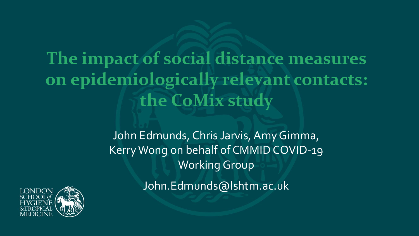# **The impact of social distance measures on epidemiologically relevant contacts: the CoMix study**

John Edmunds, Chris Jarvis, Amy Gimma, Kerry Wong on behalf of CMMID COVID-19 Working Group

John.Edmunds@lshtm.ac.uk

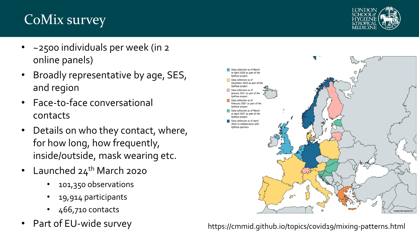# CoMix survey



- ~2500 individuals per week (in 2 online panels)
- Broadly representative by age, SES, and region
- Face-t0-face conversational contacts
- Details on who they contact, where, for how long, how frequently, inside/outside, mask wearing etc.
- Launched  $24<sup>th</sup>$  March 2020
	- 101,350 observations
	- 19,914 participants
	- 466,710 contacts
- 



Part of EU-wide survey https://cmmid.github.io/topics/covid19/mixing-patterns.html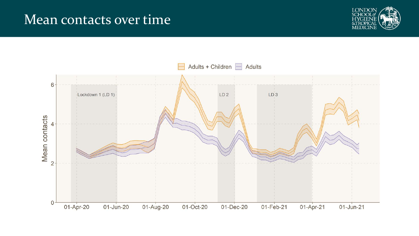#### Mean contacts over time



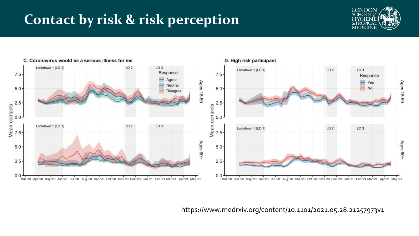### **Contact by risk & risk perception**





https://www.medrxiv.org/content/10.1101/2021.05.28.21257973v1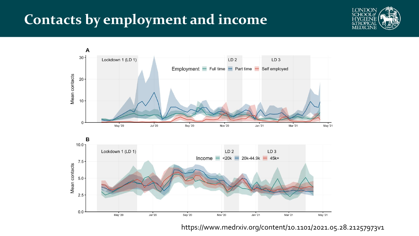#### **Contacts by employment and income**





https://www.medrxiv.org/content/10.1101/2021.05.28.21257973v1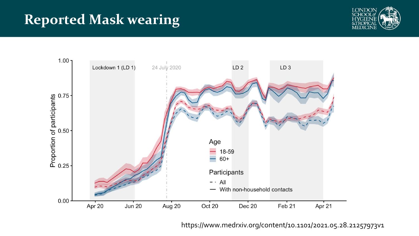## **Reported Mask wearing**





https://www.medrxiv.org/content/10.1101/2021.05.28.21257973v1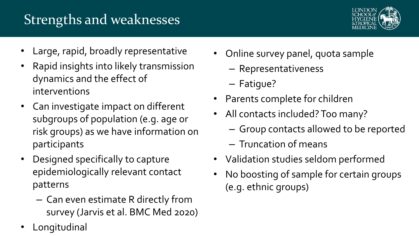# Strengths and weaknesses



- Large, rapid, broadly representative
- Rapid insights into likely transmission dynamics and the effect of interventions
- Can investigate impact on different subgroups of population (e.g. age or risk groups) as we have information on participants
- Designed specifically to capture epidemiologically relevant contact patterns
	- Can even estimate R directly from survey (Jarvis et al. BMC Med 2020)
- **Longitudinal**
- Online survey panel, quota sample
	- Representativeness
	- Fatigue?
- Parents complete for children
- All contacts included? Too many?
	- Group contacts allowed to be reported
	- Truncation of means
- Validation studies seldom performed
- No boosting of sample for certain groups (e.g. ethnic groups)